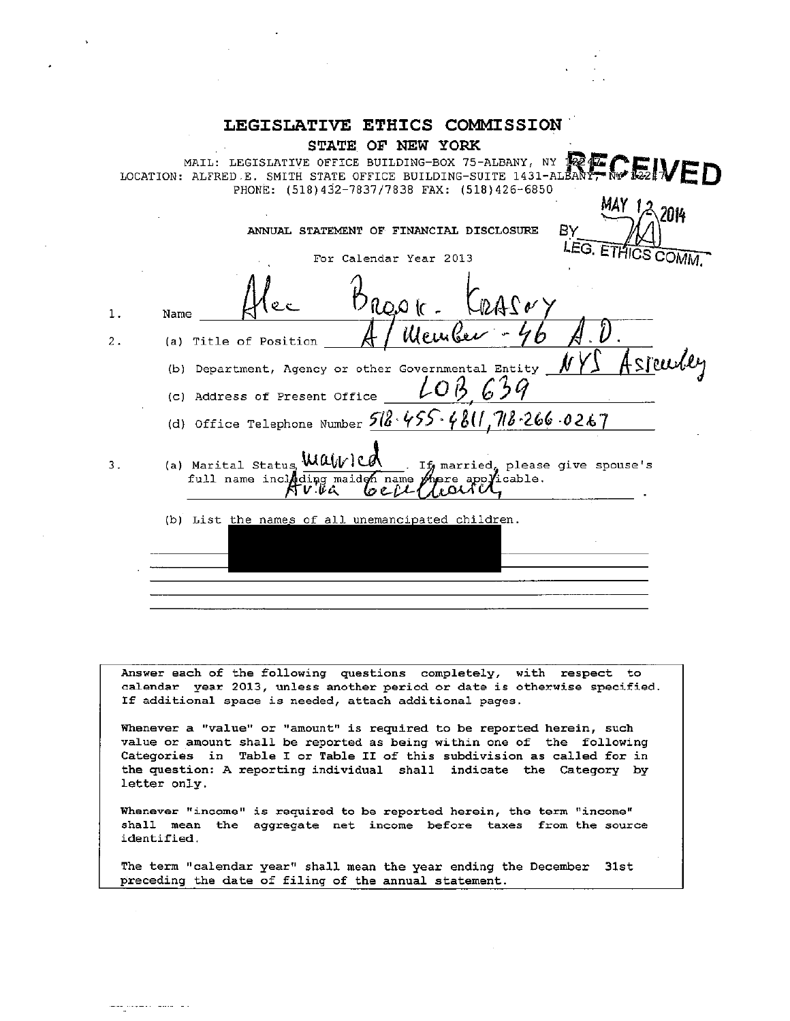| <b>LEGISLATIVE ETHICS COMMISSION</b>                                                                                                                                                                                                                                                                        |
|-------------------------------------------------------------------------------------------------------------------------------------------------------------------------------------------------------------------------------------------------------------------------------------------------------------|
| STATE OF NEW YORK<br>MAIL: LEGISLATIVE OFFICE BUILDING-BOX 75-ALBANY, NY 12247<br>MAIL: LEGISLATIVE OFFICE BUILDING-BOX 75-ALBANY, NY TEMPLE IN EXEMPLE IN EXAMPLE DOCATION: ALFRED E. SMITH STATE OFFICE BUILDING-SUITE 1431-ALBANY, NY 1822 IN $\epsilon$<br>PHONE: (518)432-7837/7838 FAX: (518)426-6850 |
| ΒY<br>ANNUAL STATEMENT OF FINANCIAL DISCLOSURE<br>LEG. ETHICS COMM.<br>For Calendar Year 2013                                                                                                                                                                                                               |
| 1.<br>Name                                                                                                                                                                                                                                                                                                  |
| Member<br>(a) Title of Position<br>2.                                                                                                                                                                                                                                                                       |
| <u>Asseurle</u><br>(b) Department, Agency or other Governmental Entity<br>(c) Address of Present Office                                                                                                                                                                                                     |
| (d) Office Telephone Number $512.455.4811.712.266.0267$                                                                                                                                                                                                                                                     |
| (a) Marital Status, Walvied<br>If married, please give spouse's<br>З.<br>full name including maidon name phere applicable.<br>しっとル<br>ነ ሆ.ቆፌ                                                                                                                                                                |
| (b) List the names of all unemancipated children.                                                                                                                                                                                                                                                           |
|                                                                                                                                                                                                                                                                                                             |
|                                                                                                                                                                                                                                                                                                             |

Answer each of the following questions completely, with respect to calendar year 2013, unless another period or date is otherwise specified. If additional space is needed, attach additional pages.

Whenever a "value" or "amount" is required to be reported herein, such value or amount shall be reported as being within one of the following Categories in Table I or Table II of this subdivision as called for in<br>the question: A reporting individual shall indicate the Category by letter only.

Whenever "income" is required to be reported herein, the term "income" shall mean the aggregate net income before taxes from the source identified.

The term "calendar year" shall mean the year ending the December 31st preceding the date of filing of the annual statement.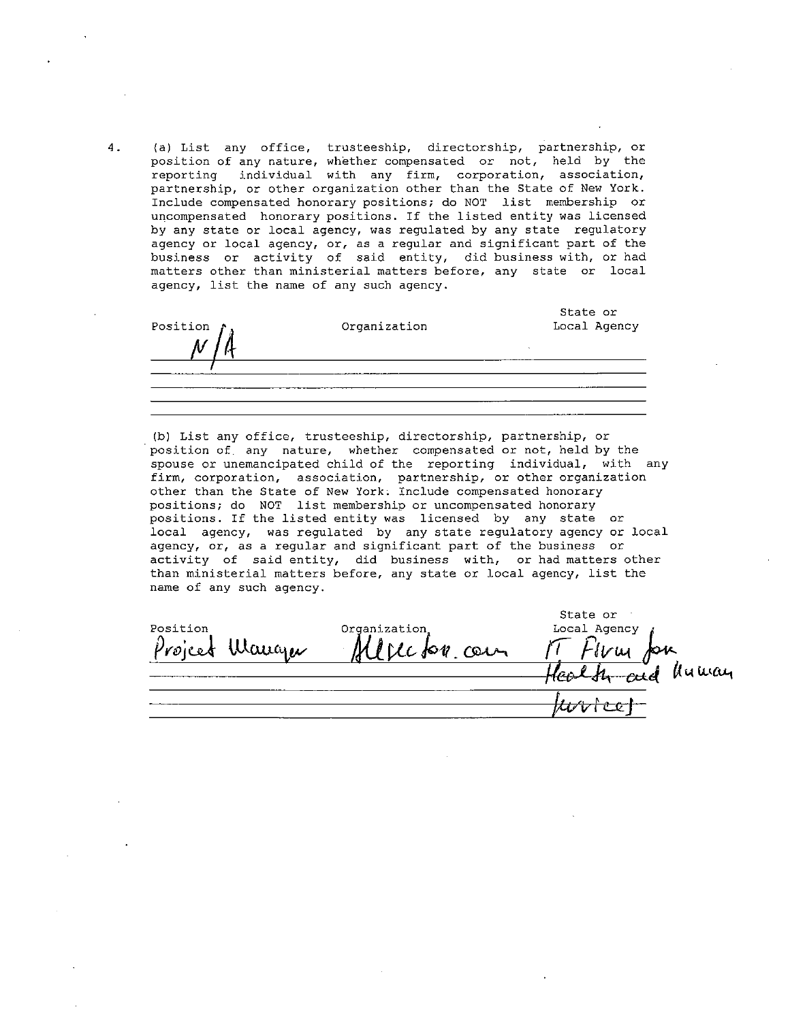(a) List any office, trusteeship, directorship, partnership, or position of any nature, whether compensated or not, held by the reporting individual with any firm, corporation, association, partnership, or other organization other than the State of New York. Include compensated honorary positions; do NOT list membership or uncompensated honorary positions. If the listed entity was licensed by any state or local agency, was regulated by any state regulatory agency or local agency, or, as a regular and significant part of the business or activity of said entity, did business with, or had matters other than ministerial matters before, any state or local agency, list the name of any such agency.

| Position $f_{\hat{d}}$ | Organization | State or<br>Local Agency |
|------------------------|--------------|--------------------------|
|                        |              |                          |
|                        |              |                          |
|                        |              |                          |

(b) List any office, trusteeship, directorship, partnership, or position of any nature, whether compensated or not, held by the spouse or unemancipated child of the reporting individual, with any firm, corporation, association, partnership, or other organization other than the State of New York. Include compensated honorary positions; do NOT list membership or uncompensated honorary positions. If the listed entity was licensed by any state or local agency, was regulated by any state regulatory agency or local agency, or, as a regular and significant part of the business or activity of said entity, did business with, or had matters other than ministerial matters before, any state or local agency, list the name of any such agency.

| Position<br>Mange<br>Project | Organization<br>carn | State or<br>Local Agency<br>ىدا ئ<br>humay |
|------------------------------|----------------------|--------------------------------------------|
|                              |                      |                                            |

 $4.$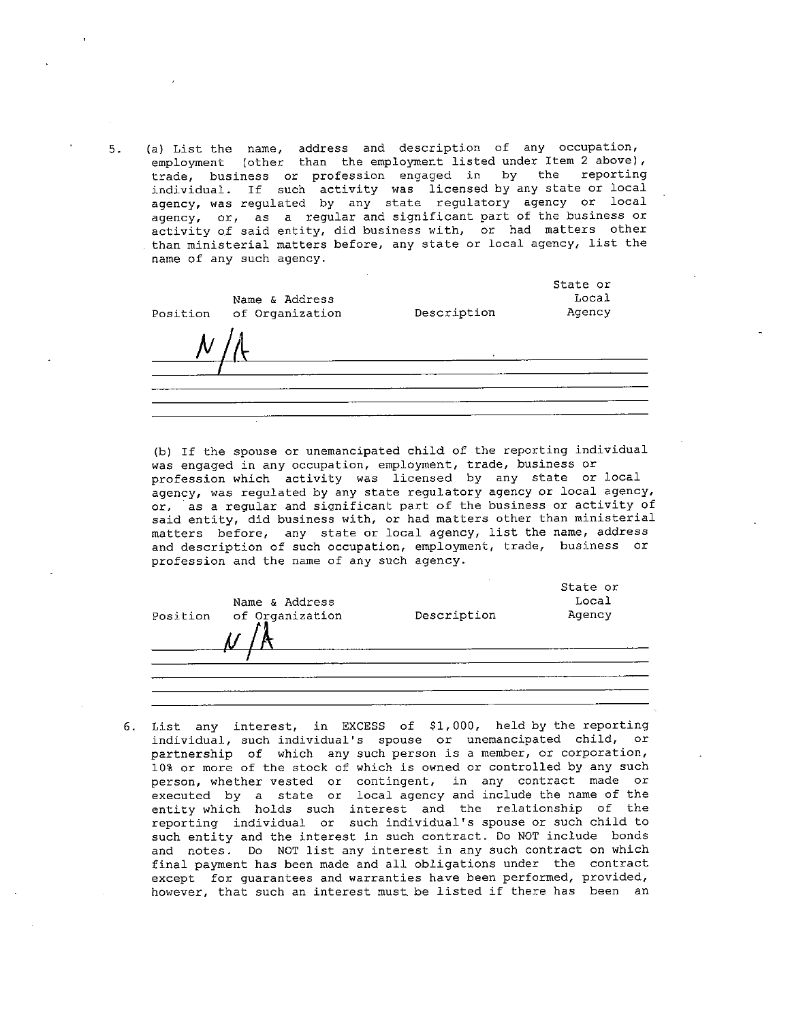(a) List the name, address and description of any occupation, employment (other than the employment listed under Item 2 above), trade, business or profession engaged in by the reporting individual. If such activity was licensed by any state or local<br>agency, was regulated by any state regulatory agency or local agency, or, as a regular and significant part of the business or activity of said entity, did business with, or had matters other than ministerial matters before, any state or local agency, list the name of any such agency.

State or Name & Address Local Agency Position of Organization Description

(b) If the spouse or unemancipated child of the reporting individual was engaged in any occupation, employment, trade, business or profession which activity was licensed by any state or local agency, was regulated by any state regulatory agency or local agency, or, as a regular and significant part of the business or activity of said entity, did business with, or had matters other than ministerial matters before, any state or local agency, list the name, address and description of such occupation, employment, trade, business or profession and the name of any such agency.

| Position | Name & Address<br>of Organization | Description | State or<br>Local<br>Agency |
|----------|-----------------------------------|-------------|-----------------------------|
|          |                                   |             |                             |

6. List any interest, in EXCESS of \$1,000, held by the reporting individual, such individual's spouse or unemancipated child, or partnership of which any such person is a member, or corporation, 10% or more of the stock of which is owned or controlled by any such person, whether vested or contingent, in any controlled by any such<br>executed by a state or local agency and include the name of the<br>entity which holds such interest and the relationship of the<br>reporting individual or such such entity and the interest in such contract. Do NOT include bonds and notes. Do NOT list any interest in any such contract on which final payment has been made and all obligations under the contract except for guarantees and warranties have been performed, provided, however, that such an interest must be listed if there has been an

 $5.$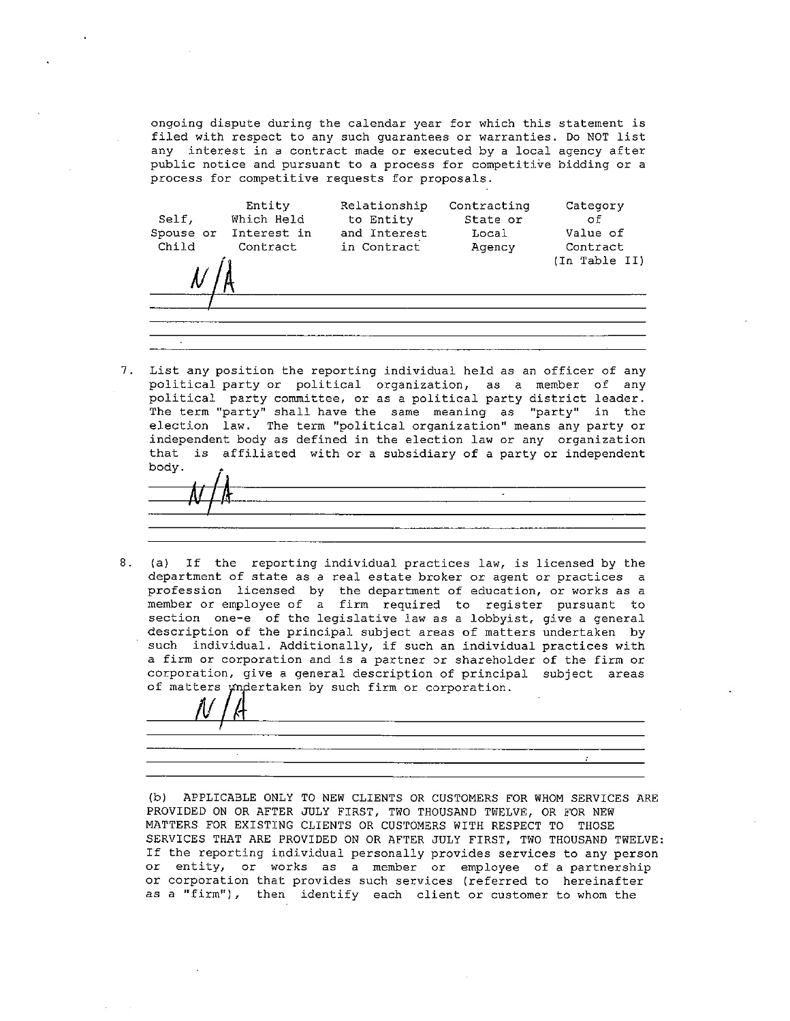ongoing dispute during the calendar year for which this statement is filed with respect to any such quarantees or warranties. Do NOT list any interest in a contract made or executed by a local agency after public notice and pursuant to a process for competitive bidding or a process for competitive requests for proposals.



 $7.$ List any position the reporting individual held as an officer of any political party or political organization, as a member of any political party committee, or as a political party district leader. The term "party" shall have the same meaning as "party" in the election law. The term "political organization" means any party or independent body as defined in the election law or any organization that is affiliated with or a subsidiary of a party or independent body.

(a) If the reporting individual practices law, is licensed by the 8. department of state as a real estate broker or agent or practices a profession licensed by the department of education, or works as a<br>member or employee of a firm required to register pursuant to section one-e of the legislative law as a lobbyist, give a general description of the principal subject areas of matters undertaken by such individual. Additionally, if such an individual practices with a firm or corporation and is a partner or shareholder of the firm or corporation, give a general description of principal subject areas of matters undertaken by such firm or corporation.

(b) APPLICABLE ONLY TO NEW CLIENTS OR CUSTOMERS FOR WHOM SERVICES ARE PROVIDED ON OR AFTER JULY FIRST, TWO THOUSAND TWELVE, OR FOR NEW MATTERS FOR EXISTING CLIENTS OR CUSTOMERS WITH RESPECT TO THOSE SERVICES THAT ARE PROVIDED ON OR AFTER JULY FIRST, TWO THOUSAND TWELVE: If the reporting individual personally provides services to any person or entity, or works as a member or employee of a partnership or corporation that provides such services (referred to hereinafter as a "firm"), then identify each client or customer to whom the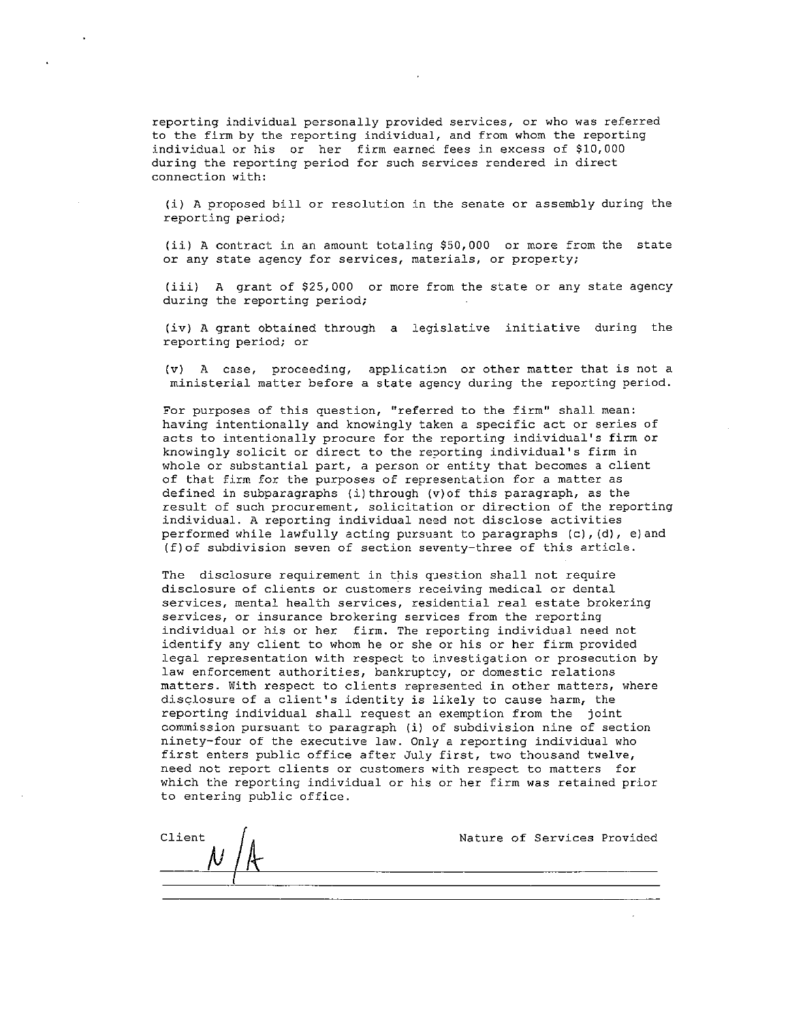reporting individual personally provided services, or who was referred to the firm by the reporting individual, and from whom the reporting individual or his or her firm earned fees in excess of \$10,000 during the reporting period for such services rendered in direct connection with:

(i) A proposed bill or resolution in the senate or assembly during the reporting period;

(ii) A contract in an amount totaling \$50,000 or more from the state or any state agency for services, materials, or property;

(iii) A grant of \$25,000 or more from the state or any state agency during the reporting period;

(iv) A grant obtained through a legislative initiative during the reporting period; or

(v) A case, proceeding, application or other matter that is not a ministerial matter before a state agency during the reporting period.

For purposes of this question, "referred to the firm" shall mean: having intentionally and knowingly taken a specific act or series of acts to intentionally procure for the reporting individual's firm or knowingly solicit or direct to the reporting individual's firm in whole or substantial part, a person or entity that becomes a client of that firm for the purposes of representation for a matter as defined in subparagraphs (i) through (v) of this paragraph, as the result of such procurement, solicitation or direction of the reporting individual. A reporting individual need not disclose activities performed while lawfully acting pursuant to paragraphs (c), (d), e) and (f) of subdivision seven of section seventy-three of this article.

The disclosure requirement in this question shall not require disclosure of clients or customers receiving medical or dental services, mental health services, residential real estate brokering services, or insurance brokering services from the reporting individual or his or her firm. The reporting individual need not identify any client to whom he or she or his or her firm provided legal representation with respect to investigation or prosecution by law enforcement authorities, bankruptcy, or domestic relations matters. With respect to clients represented in other matters, where disclosure of a client's identity is likely to cause harm, the reporting individual shall request an exemption from the joint commission pursuant to paragraph (i) of subdivision nine of section ninety-four of the executive law. Only a reporting individual who first enters public office after July first, two thousand twelve, need not report clients or customers with respect to matters for which the reporting individual or his or her firm was retained prior to entering public office.

| Client |  |  | Nature of Services Provided |  |
|--------|--|--|-----------------------------|--|
|        |  |  |                             |  |
|        |  |  |                             |  |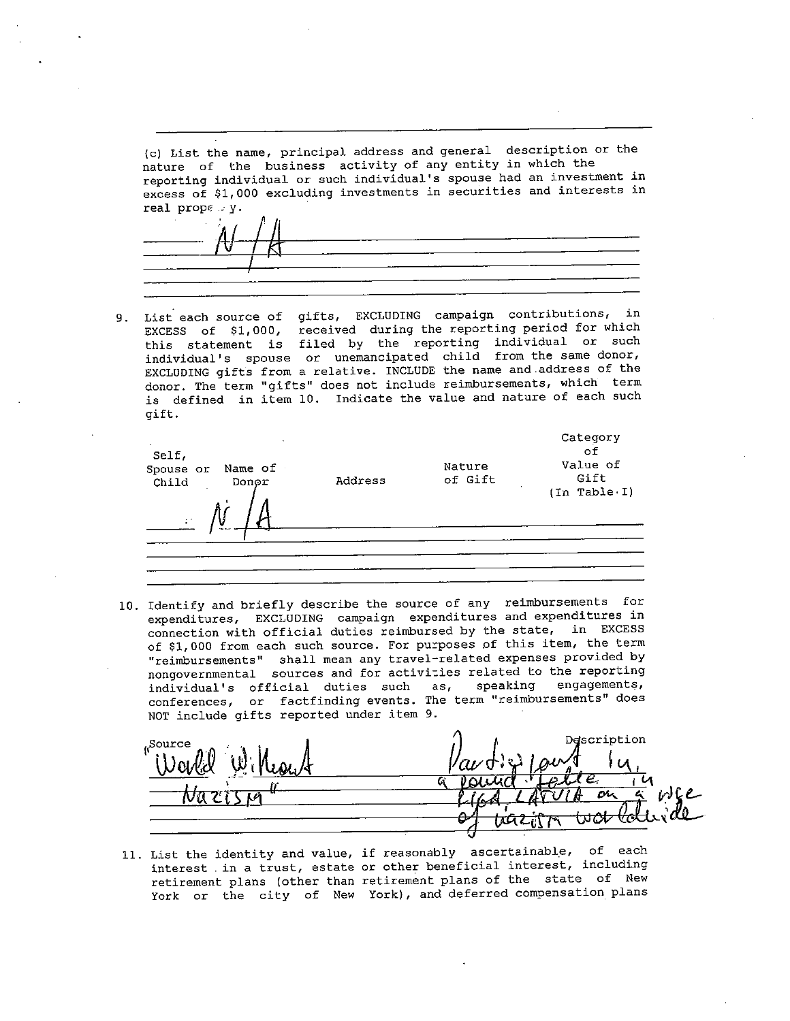(c) List the name, principal address and general description or the nature of the business activity of any entity in which the reporting individual or such individual's spouse had an investment in excess of \$1,000 excluding investments in securities and interests in real prope  $: y$ .

List each source of gifts, EXCLUDING campaign contributions, in 9. EXCESS of \$1,000, received during the reporting period for which this statement is filed by the reporting individual or such individual's spouse or unemancipated child from the same donor, EXCLUDING gifts from a relative. INCLUDE the name and address of the donor. The term "gifts" does not include reimbursements, which term is defined in item 10. Indicate the value and nature of each such qift.

| Self,<br>Name of<br>Spouse or<br>Child<br>Donor<br>$\mathbb{R}^2$ | Address | Nature<br>of Gift | Category<br>оf<br>Value of<br>Gift<br>(In Table I) |
|-------------------------------------------------------------------|---------|-------------------|----------------------------------------------------|
|                                                                   |         |                   |                                                    |

10. Identify and briefly describe the source of any reimbursements for expenditures, EXCLUDING campaign expenditures and expenditures in connection with official duties reimbursed by the state, in EXCESS of \$1,000 from each such source. For purposes of this item, the term "reimbursements" shall mean any travel-related expenses provided by<br>nongovernmental sources and for activities related to the reporting engagements, individual's official duties such as, speaking conferences, or factfinding events. The term "reimbursements" does NOT include gifts reported under item 9.

escription <sub>(Source</sub> m

11. List the identity and value, if reasonably ascertainable, of each interest in a trust, estate or other beneficial interest, including retirement plans (other than retirement plans of the state of New York or the city of New York), and deferred compensation plans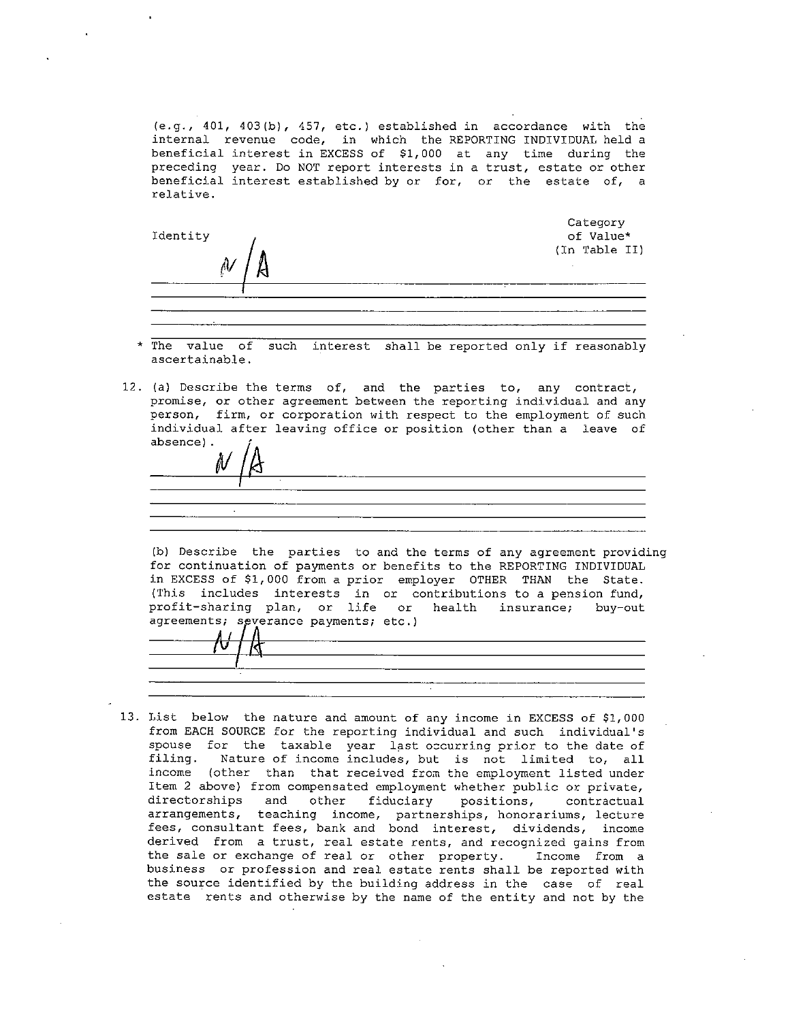(e.g., 401, 403(b), 457, etc.) established in accordance with the internal revenue code, in which the REPORTING INDIVIDUAL held a beneficial interest in EXCESS of \$1,000 at any time during the preceding year. Do NOT report interests in a trust, estate or other beneficial interest established by or for, or the estate of, a relative.

| Identity |  | Category<br>of Value* |
|----------|--|-----------------------|
|          |  | (In Table II)         |
|          |  |                       |
|          |  |                       |

- \* The value of such interest shall be reported only if reasonably ascertainable.
- 12. (a) Describe the terms of, and the parties to, any contract, promise, or other agreement between the reporting individual and any person, firm, or corporation with respect to the employment of such individual after leaving office or position (other than a leave of absence).

(b) Describe the parties to and the terms of any agreement providing for continuation of payments or benefits to the REPORTING INDIVIDUAL in EXCESS of \$1,000 from a prior employer OTHER THAN the State. (This includes interests in or contributions to a pension fund, profit-sharing plan, or life or health insurance; buv-out agreements; severance payments; etc.)

13. List below the nature and amount of any income in EXCESS of \$1,000 from EACH SOURCE for the reporting individual and such individual's spouse for the taxable year last occurring prior to the date of filing. Nature of income includes, but is not limited to, all income (other than that received from the employment listed under Item 2 above) from compensated employment whether public or private, directorships and other fiduciary positions, contractual arrangements, teaching income, partnerships, honorariums, lecture fees, consultant fees, bank and bond interest, dividends, income derived from a trust, real estate rents, and recognized gains from the sale or exchange of real or other property. Income from a business or profession and real estate rents shall be reported with the source identified by the building address in the case of real estate rents and otherwise by the name of the entity and not by the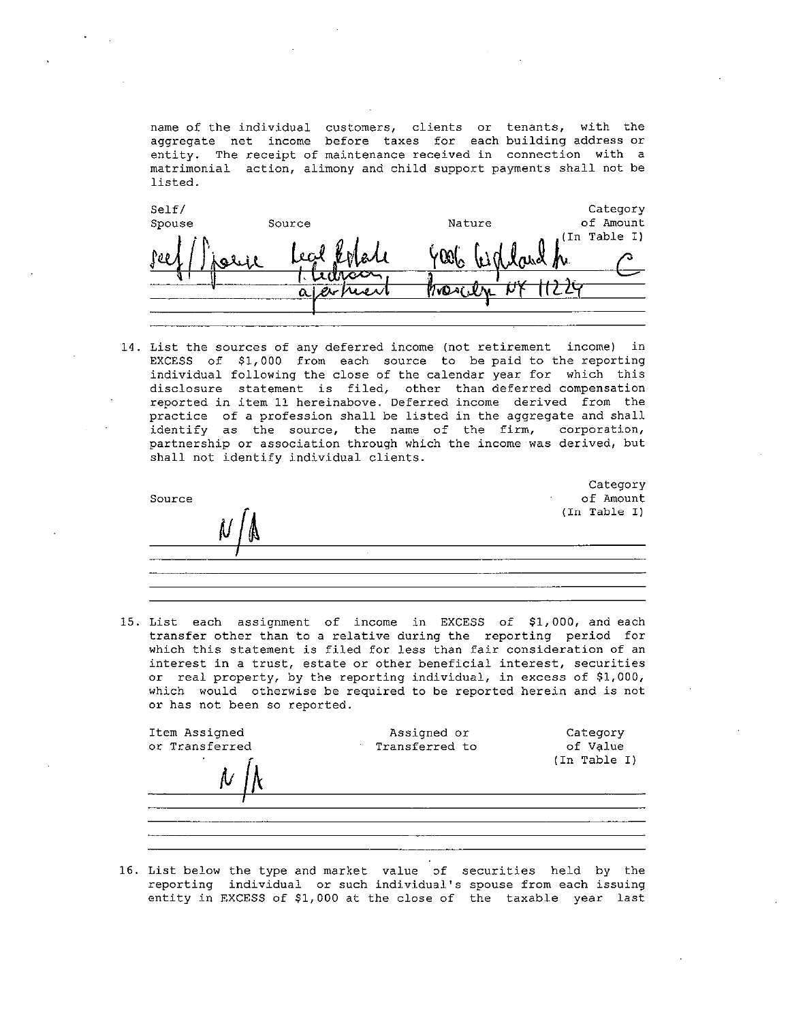name of the individual customers, clients or tenants, with the aggregate net income before taxes for each building address or entity. The receipt of maintenance received in connection with a matrimonial action, alimony and child support payments shall not be listed.

| Self/  |          |        | Category     |
|--------|----------|--------|--------------|
| Spouse | Source   | Nature | of Amount    |
|        | lecd     |        | (In Table I) |
|        | oh<br>ЪĦ | and he |              |
|        |          |        |              |
|        | ماردر    |        |              |
|        |          |        |              |
|        |          |        |              |

14. List the sources of any deferred income (not retirement income) in EXCESS of \$1,000 from each source to be paid to the reporting individual following the close of the calendar year for which this disclosure statement is filed, other than deferred compensation reported in item 11 hereinabove. Deferred income derived from the practice of a profession shall be listed in the aggregate and shall identify as the source, the name of the firm, corporation, partnership or association through which the income was derived, but shall not identify individual clients.

| Source |          | Category<br>of Amount |
|--------|----------|-----------------------|
| ıv     |          | (In Table I)          |
|        | <b>A</b> |                       |
|        |          |                       |

15. List each assignment of income in EXCESS of \$1,000, and each transfer other than to a relative during the reporting period for which this statement is filed for less than fair consideration of an interest in a trust, estate or other beneficial interest, securities or real property, by the reporting individual, in excess of \$1,000, which would otherwise be required to be reported herein and is not or has not been so reported.

| Item Assigned<br>or Transferred | Assigned or<br>Transferred to | Category<br>of Value<br>(In Table I) |
|---------------------------------|-------------------------------|--------------------------------------|
|                                 |                               |                                      |

16. List below the type and market value of securities held by the reporting individual or such individual's spouse from each issuing entity in EXCESS of \$1,000 at the close of the taxable year last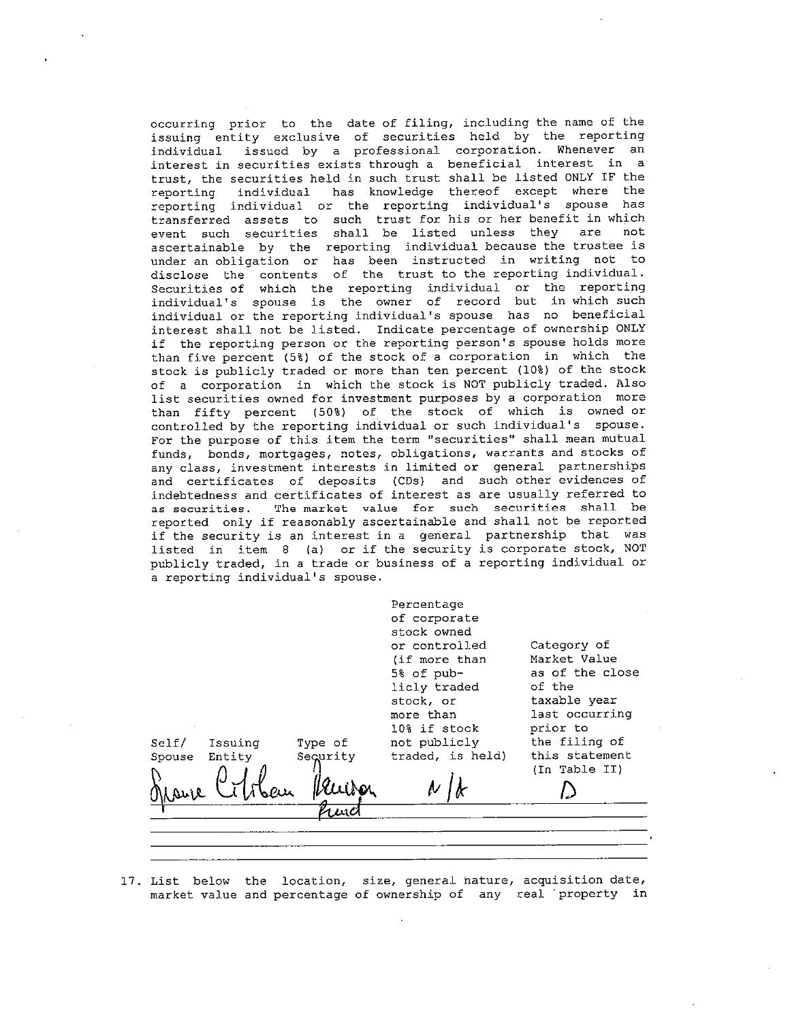occurring prior to the date of filing, including the name of the issuing entity exclusive of securities held by the reporting issued by a professional corporation. Whenever an individual interest in securities exists through a beneficial interest in a trust, the securities held in such trust shall be listed ONLY IF the reporting individual has knowledge thereof except where the reporting individual or the reporting individual's spouse has transferred assets to such trust for his or her benefit in which event such securities shall be listed unless they are not ascertainable by the reporting individual because the trustee is under an obligation or has been instructed in writing not to disclose the contents of the trust to the reporting individual. Securities of which the reporting individual or the reporting individual's spouse is the owner of record but in which such individual or the reporting individual's spouse has no beneficial interest shall not be listed. Indicate percentage of ownership ONLY if the reporting person or the reporting person's spouse holds more than five percent (5%) of the stock of a corporation in which the stock is publicly traded or more than ten percent (10%) of the stock of a corporation in which the stock is NOT publicly traded. Also list securities owned for investment purposes by a corporation more than fifty percent (50%) of the stock of which is owned or controlled by the reporting individual or such individual's spouse. For the purpose of this item the term "securities" shall mean mutual funds, bonds, mortgages, notes, obligations, warrants and stocks of any class, investment interests in limited or general partnerships and certificates of deposits (CDs) and such other evidences of indebtedness and certificates of interest as are usually referred to as securities. The market value for such securities shall be reported only if reasonably ascertainable and shall not be reported if the security is an interest in a general partnership that was listed in item 8 (a) or if the security is corporate stock, NOT publicly traded, in a trade or business of a reporting individual or a reporting individual's spouse.

Percentage of corporate stock owned or controlled Category of (if more than Market Value as of the close 5% of pubof the licly traded taxable year stock, or more than last occurring  $10<sup>8</sup>$  if stock prior to not publicly  $Self/$ the filing of Issuing Type of Security traded, is held) this statement Spouse Entity (In Table II)

17. List below the location, size, general nature, acquisition date, market value and percentage of ownership of any real property in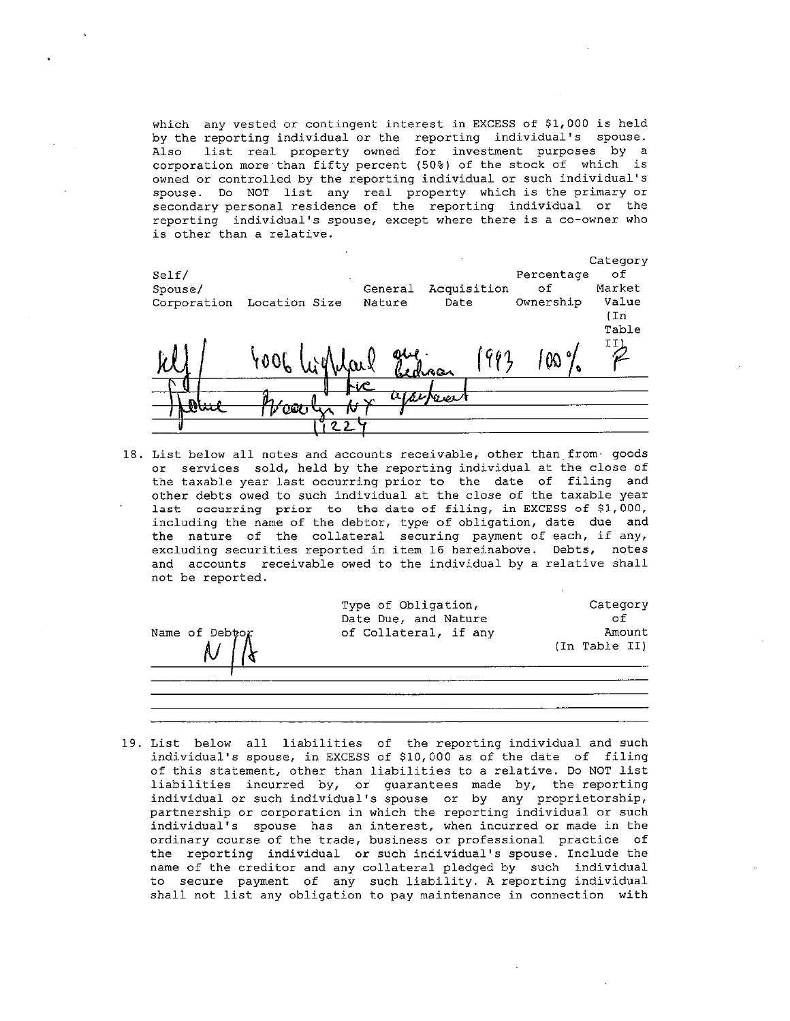which any vested or contingent interest in EXCESS of \$1,000 is held by the reporting individual or the reporting individual's spouse. list real property owned for investment purposes by a Also corporation more than fifty percent (50%) of the stock of which is owned or controlled by the reporting individual or such individual's spouse. Do NOT list any real property which is the primary or secondary personal residence of the reporting individual or the reporting individual's spouse, except where there is a co-owner who is other than a relative.

|             |                 |            |             |            | Category |
|-------------|-----------------|------------|-------------|------------|----------|
| Self/       |                 |            |             | Percentage | оf       |
| Spouse/     |                 | General    | Acquisition | оf         | Market   |
| Corporation | Location Size   | Nature     | Date        | Ownership  | Value    |
|             |                 |            |             |            | (In      |
|             |                 |            |             |            | Table    |
|             |                 |            |             |            |          |
|             | Y 0 O [         |            | $G$ 01      | OC.        |          |
|             |                 |            | bedroen     |            |          |
|             |                 | <b>hic</b> |             |            |          |
|             |                 | $\sim$     | Warnee      |            |          |
|             | UW              |            |             |            |          |
|             | $2\overline{2}$ |            |             |            |          |

18. List below all notes and accounts receivable, other than from goods or services sold, held by the reporting individual at the close of the taxable year last occurring prior to the date of filing and other debts owed to such individual at the close of the taxable year last occurring prior to the date of filing, in EXCESS of \$1,000, including the name of the debtor, type of obligation, date due and the nature of the collateral securing payment of each, if any, excluding securities reported in item 16 hereinabove. Debts, notes and accounts receivable owed to the individual by a relative shall not be reported.

| Name of Debtor | Type of Obligation,<br>Date Due, and Nature<br>of Collateral, if any | Category<br>of<br>Amount<br>(In Table II) |
|----------------|----------------------------------------------------------------------|-------------------------------------------|
|                |                                                                      |                                           |

19. List below all liabilities of the reporting individual and such individual's spouse, in EXCESS of \$10,000 as of the date of filing of this statement, other than liabilities to a relative. Do NOT list liabilities incurred by, or guarantees made by, the reporting individual or such individual's spouse or by any proprietorship, partnership or corporation in which the reporting individual or such individual's spouse has an interest, when incurred or made in the ordinary course of the trade, business or professional practice of the reporting individual or such individual's spouse. Include the name of the creditor and any collateral pledged by such individual to secure payment of any such liability. A reporting individual shall not list any obligation to pay maintenance in connection with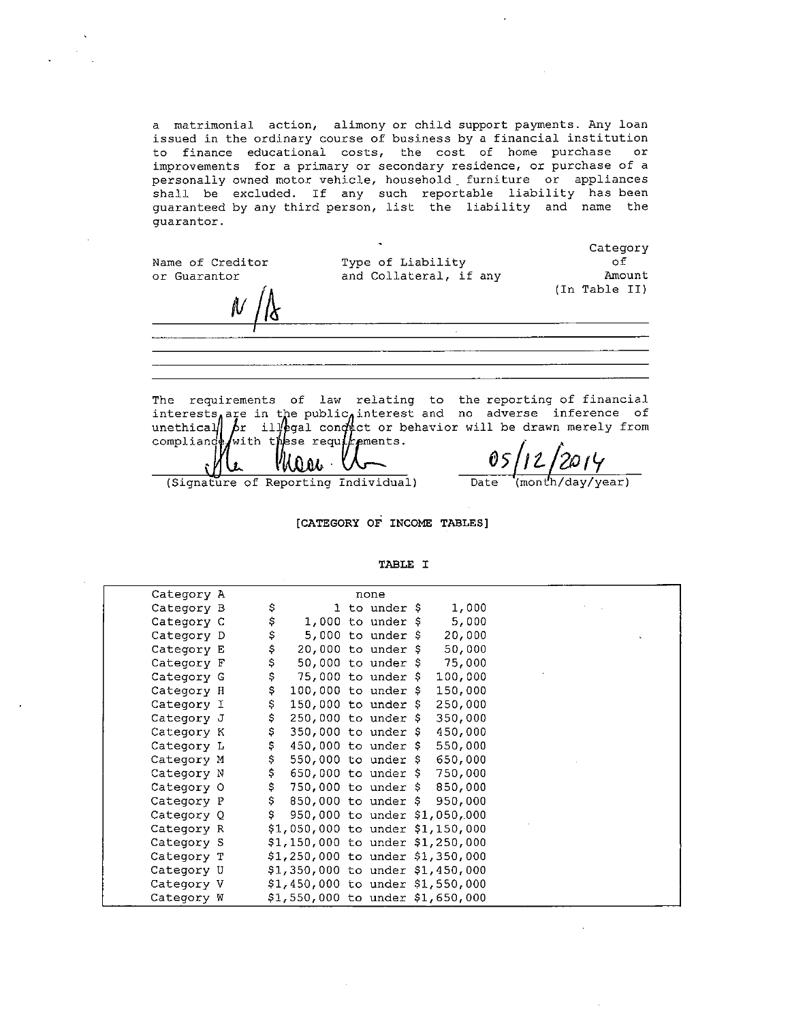a matrimonial action, alimony or child support payments. Any loan issued in the ordinary course of business by a financial institution to finance educational costs, the cost of home purchase or improvements for a primary or secondary residence, or purchase of a personally owned motor vehicle, household furniture or appliances shall be excluded. If any such reportable liability has been guaranteed by any third person, list the liability and name the quarantor.

Name of Creditor or Guarantor

Type of Liability and Collateral, if any

Category оf Amount (In Table II)

The requirements of law relating to the reporting of financial interests are in the public interest and no adverse inference of<br>unethical for illegal conduct or behavior will be drawn merely from<br>compliance with these requirements.

n n

05 Date (month/day/year)

(Signature of Reporting Individual)

[CATEGORY OF INCOME TABLES]

TABLE I

| Category A |     |                                  | none                         |         |                  |
|------------|-----|----------------------------------|------------------------------|---------|------------------|
| Category B | Ş   |                                  | 1 to under \$                | 1,000   |                  |
| Category C | \$  |                                  | 1,000 to under $\frac{1}{2}$ | 5,000   |                  |
| Category D | \$  |                                  | 5,000 to under $\frac{1}{2}$ | 20,000  | $\mathbf{x}_i$ . |
| Category E | \$  | $20,000$ to under \$             |                              | 50,000  |                  |
| Category F | \$  | $50,000$ to under \$             |                              | 75,000  |                  |
| Category G | \$  | 75,000 to under \$               |                              | 100,000 |                  |
| Category H | \$. | $100,000$ to under \$            |                              | 150,000 |                  |
| Category I | Ş.  | 150,000 to under \$              |                              | 250,000 |                  |
| Category J | \$. | 250,000 to under \$              |                              | 350,000 |                  |
| Category K | \$. | 350,000 to under \$              |                              | 450,000 |                  |
| Category L | \$. | $450,000$ to under \$            |                              | 550,000 |                  |
| Category M | \$. | 550,000 to under \$ 650,000      |                              |         |                  |
| Category N | \$. | 650,000 to under \$              |                              | 750,000 |                  |
| Category O | \$. | 750,000 to under \$850,000       |                              |         |                  |
| Category P | \$. | 850,000 to under \$950,000       |                              |         |                  |
| Category Q | S.  | 950,000 to under \$1,050,000     |                              |         |                  |
| Category R |     | \$1,050,000 to under \$1,150,000 |                              |         |                  |
| Category S |     | \$1,150,000 to under \$1,250,000 |                              |         |                  |
| Category T |     | \$1,250,000 to under \$1,350,000 |                              |         |                  |
| Category U |     | \$1,350,000 to under \$1,450,000 |                              |         |                  |
| Category V |     | \$1,450,000 to under \$1,550,000 |                              |         |                  |
| Category W |     | \$1,550,000 to under \$1,650,000 |                              |         |                  |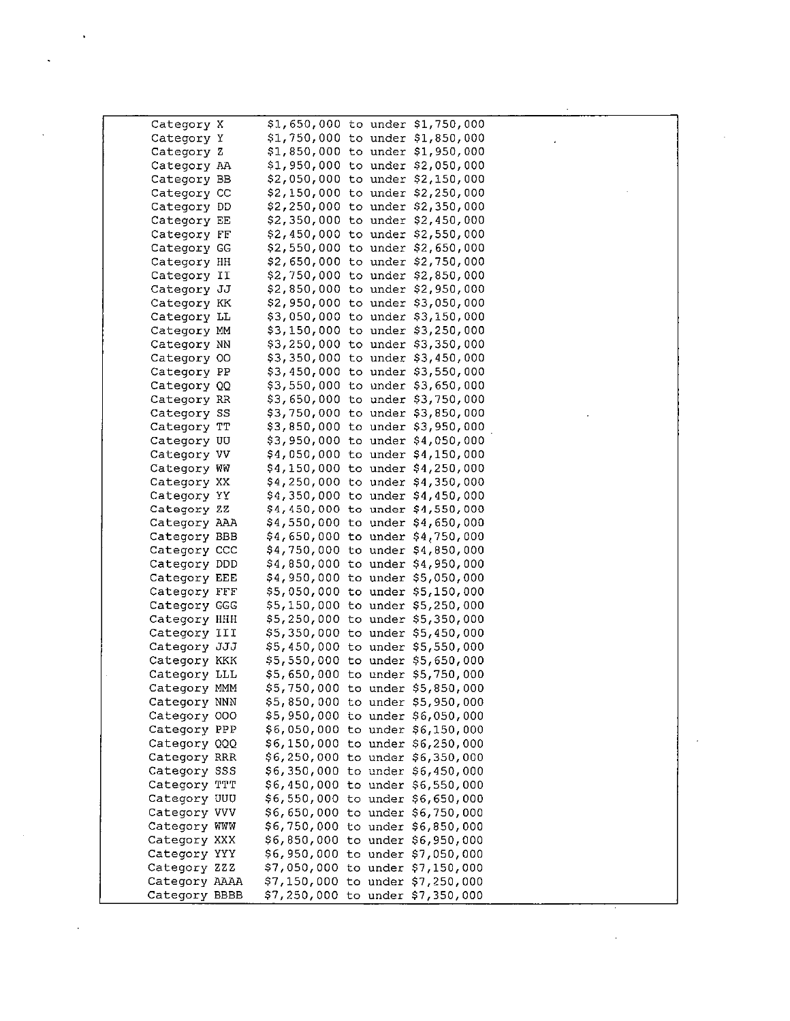|                            | \$1,650,000 to under \$1,750,000                                     |
|----------------------------|----------------------------------------------------------------------|
| Category X<br>Category Y   | \$1,750,000 to under \$1,850,000                                     |
| Category Z                 | \$1,850,000 to under \$1,950,000                                     |
|                            |                                                                      |
| Category AA                | \$1,950,000 to under \$2,050,000                                     |
| Category BB                | \$2,050,000 to under \$2,150,000                                     |
| Category CC                | \$2,150,000 to under \$2,250,000                                     |
| Category DD                | \$2,250,000 to under \$2,350,000                                     |
| Category EE                | \$2,350,000 to under \$2,450,000                                     |
| Category FF                | \$2,450,000 to under \$2,550,000                                     |
| Category GG                | \$2,550,000 to under \$2,650,000                                     |
| Category HH                | \$2,650,000 to under \$2,750,000                                     |
| Category II                | \$2,750,000 to under \$2,850,000                                     |
| Category JJ                | \$2,850,000 to under \$2,950,000                                     |
| Category KK                | \$2,950,000 to under \$3,050,000                                     |
| Category LL                | \$3,050,000 to under \$3,150,000                                     |
| Category MM                | \$3,150,000 to under \$3,250,000                                     |
| Category NN                | \$3,250,000 to under \$3,350,000                                     |
| Category 00                | \$3,350,000 to under \$3,450,000                                     |
| Category PP                | \$3,450,000 to under \$3,550,000                                     |
| Category QQ                | \$3,550,000 to under \$3,650,000                                     |
| Category RR                | \$3,650,000 to under \$3,750,000<br>\$3,750,000 to under \$3,850,000 |
| Category SS                |                                                                      |
| Category TT                | \$3,850,000 to under \$3,950,000                                     |
| Category UU                | \$3,950,000 to under \$4,050,000                                     |
| Category VV                | \$4,050,000 to under \$4,150,000                                     |
| Category WW                | \$4,150,000 to under \$4,250,000<br>\$4,250,000 to under \$4,350,000 |
| Category XX<br>Category YY |                                                                      |
| Category ZZ                | \$4,350,000 to under \$4,450,000<br>\$4,450,000 to under \$4,550,000 |
| Category AAA               | \$4,550,000 to under \$4,650,000                                     |
| Category BBB               | \$4,650,000 to under \$4,750,000                                     |
| Category CCC               | \$4,750,000 to under \$4,850,000                                     |
| Category DDD               | \$4,850,000 to under \$4,950,000                                     |
| Category EEE               | \$4,950,000 to under \$5,050,000                                     |
| Category FFF               | \$5,050,000 to under \$5,150,000                                     |
| Category GGG               | \$5,150,000 to under \$5,250,000                                     |
| Category HHH               | \$5,250,000 to under \$5,350,000                                     |
| Category III               | \$5,350,000 to under \$5,450,000                                     |
| Category JJJ               | \$5,450,000 to under \$5,550,000                                     |
| Category KKK               | \$5,550,000 to under \$5,650,000                                     |
| Category LLL               | \$5,650,000 to under \$5,750,000                                     |
| Category MMM               | \$5,750,000 to under \$5,850,000                                     |
| Category NNN               | \$5,850,000 to under \$5,950,000                                     |
| Category 000               | \$5,950,000 to under \$6,050,000                                     |
| Category PPP               | \$6,050,000 to under \$6,150,000                                     |
| Category QQQ               | \$6,150,000 to under \$6,250,000                                     |
| Category RRR               | \$6,250,000 to under \$6,350,000                                     |
| Category SSS               | \$6,350,000 to under \$6,450,000                                     |
| Category TTT               | \$6,450,000 to under \$6,550,000                                     |
| Category UUU               | \$6,550,000 to under \$6,650,000                                     |
| Category VVV               | \$6,650,000 to under \$6,750,000                                     |
| Category WWW               | \$6,750,000 to under \$6,850,000                                     |
| Category XXX               | \$6,850,000 to under \$6,950,000                                     |
| Category YYY               | \$6,950,000 to under \$7,050,000                                     |
| Category ZZZ               | \$7,050,000 to under \$7,150,000                                     |
| Category AAAA              | \$7,150,000 to under \$7,250,000                                     |
| Category BBBB              | \$7,250,000 to under \$7,350,000                                     |

 $\label{eq:2.1} \frac{1}{2} \sum_{i=1}^n \frac{1}{2} \sum_{j=1}^n \frac{1}{2} \sum_{j=1}^n \frac{1}{2} \sum_{j=1}^n \frac{1}{2} \sum_{j=1}^n \frac{1}{2} \sum_{j=1}^n \frac{1}{2} \sum_{j=1}^n \frac{1}{2} \sum_{j=1}^n \frac{1}{2} \sum_{j=1}^n \frac{1}{2} \sum_{j=1}^n \frac{1}{2} \sum_{j=1}^n \frac{1}{2} \sum_{j=1}^n \frac{1}{2} \sum_{j=1}^n \frac{$ 

 $\mathcal{L}^{\text{max}}_{\text{max}}$  $\frac{1}{2} \sum_{i=1}^{n} \frac{1}{i} \sum_{j=1}^{n} \frac{1}{j} \sum_{j=1}^{n} \frac{1}{j} \sum_{j=1}^{n} \frac{1}{j} \sum_{j=1}^{n} \frac{1}{j} \sum_{j=1}^{n} \frac{1}{j} \sum_{j=1}^{n} \frac{1}{j} \sum_{j=1}^{n} \frac{1}{j} \sum_{j=1}^{n} \frac{1}{j} \sum_{j=1}^{n} \frac{1}{j} \sum_{j=1}^{n} \frac{1}{j} \sum_{j=1}^{n} \frac{1}{j} \sum_{j=1}^{n$ 

 $\mathcal{L}(\mathcal{A})$  and  $\mathcal{L}(\mathcal{A})$ 

 $\mathcal{L}^{\text{max}}_{\text{max}}$  and  $\mathcal{L}^{\text{max}}_{\text{max}}$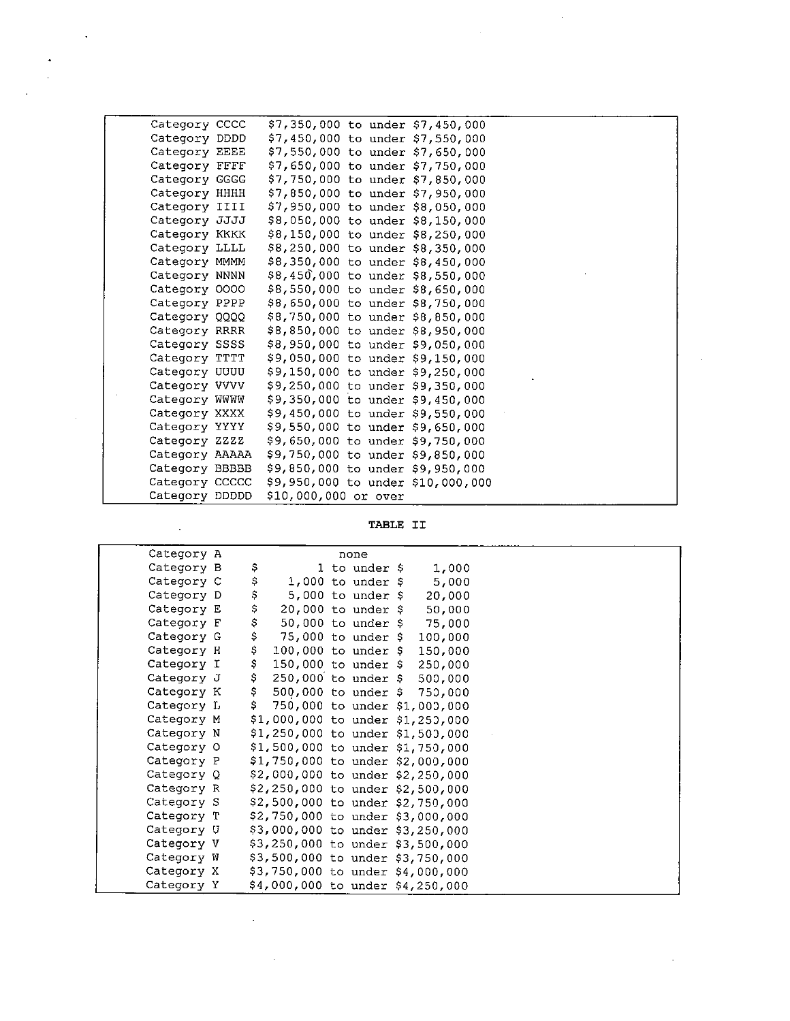| Category CCCC  |                      |  | \$7,350,000 to under \$7,450,000  |  |
|----------------|----------------------|--|-----------------------------------|--|
| Category DDDD  |                      |  | \$7,450,000 to under \$7,550,000  |  |
| Category EEEE  |                      |  | \$7,550,000 to under \$7,650,000  |  |
| Category FFFF  |                      |  | \$7,650,000 to under \$7,750,000  |  |
| Category GGGG  |                      |  | \$7,750,000 to under \$7,850,000  |  |
| Category HHHH  |                      |  | \$7,850,000 to under \$7,950,000  |  |
| Category IIII  |                      |  | \$7,950,000 to under \$8,050,000  |  |
| Category JJJJ  |                      |  | \$8,050,000 to under \$8,150,000  |  |
| Category KKKK  |                      |  | \$8,150,000 to under \$8,250,000  |  |
| Category LLLL  |                      |  | \$8,250,000 to under \$8,350,000  |  |
| Category MMMM  |                      |  | \$8,350,000 to under \$8,450,000  |  |
| Category NNNN  |                      |  | \$8,450,000 to under \$8,550,000  |  |
| Category 0000  |                      |  | \$8,550,000 to under \$8,650,000  |  |
| Category PPPP  |                      |  | \$8,650,000 to under \$8,750,000  |  |
| Category QQQQ  |                      |  | \$8,750,000 to under \$8,850,000  |  |
| Category RRRR  |                      |  | \$8,850,000 to under \$8,950,000  |  |
| Category SSSS  |                      |  | \$8,950,000 to under \$9,050,000  |  |
| Category TTTT  |                      |  | \$9,050,000 to under \$9,150,000  |  |
| Category UUUU  |                      |  | \$9,150,000 to under \$9,250,000  |  |
| Category VVVV  |                      |  | \$9,250,000 to under \$9,350,000  |  |
| Category WWWW  |                      |  | \$9,350,000 to under \$9,450,000  |  |
| Category XXXX  |                      |  | \$9,450,000 to under \$9,550,000  |  |
| Category YYYY  |                      |  | \$9,550,000 to under \$9,650,000  |  |
| Category ZZZZ  |                      |  | \$9,650,000 to under \$9,750,000  |  |
| Category AAAAA |                      |  | \$9,750,000 to under \$9,850,000  |  |
| Category BBBBB |                      |  | \$9,850,000 to under \$9,950,000  |  |
| Category CCCCC |                      |  | \$9,950,000 to under \$10,000,000 |  |
| Category DDDDD | \$10,000,000 or over |  |                                   |  |

TABLE II

| Category A |     |                      | none               |                                  |  |
|------------|-----|----------------------|--------------------|----------------------------------|--|
| Category B | Ş   |                      | 1 to under \$      | 1,000                            |  |
| Category C | Ş   |                      | 1,000 to under $$$ | 5,000                            |  |
| Category D | \$  |                      | 5,000 to under $$$ | 20,000                           |  |
| Category E | \$  | $20,000$ to under \$ |                    | 50,000                           |  |
| Category F | \$  | $50,000$ to under \$ |                    | 75,000                           |  |
| Category G | \$  | $75,000$ to under \$ |                    | 100,000                          |  |
| Category H | \$  | 100,000 to under $$$ |                    | 150,000                          |  |
| Category I | \$  | 150,000 to under \$  |                    | 250,000                          |  |
| Category J | Ş   | 250,000 to under \$  |                    | 500,000                          |  |
| Category K | \$  | 500,000 to under \$  |                    | 750,000                          |  |
| Category L | \$. |                      |                    | 750,000 to under \$1,000,000     |  |
| Category M |     |                      |                    | \$1,000,000 to under \$1,250,000 |  |
| Category N |     |                      |                    | \$1,250,000 to under \$1,500,000 |  |
| Category O |     |                      |                    | \$1,500,000 to under \$1,750,000 |  |
| Category P |     |                      |                    | \$1,750,000 to under \$2,000,000 |  |
| Category Q |     |                      |                    | \$2,000,000 to under \$2,250,000 |  |
| Category R |     |                      |                    | \$2,250,000 to under \$2,500,000 |  |
| Category S |     |                      |                    | \$2,500,000 to under \$2,750,000 |  |
| Category T |     |                      |                    | \$2,750,000 to under \$3,000,000 |  |
| Category U |     |                      |                    | \$3,000,000 to under \$3,250,000 |  |
| Category V |     |                      |                    | \$3,250,000 to under \$3,500,000 |  |
| Category W |     |                      |                    | \$3,500,000 to under \$3,750,000 |  |
| Category X |     |                      |                    | \$3,750,000 to under \$4,000,000 |  |
| Category Y |     |                      |                    | \$4,000,000 to under \$4,250,000 |  |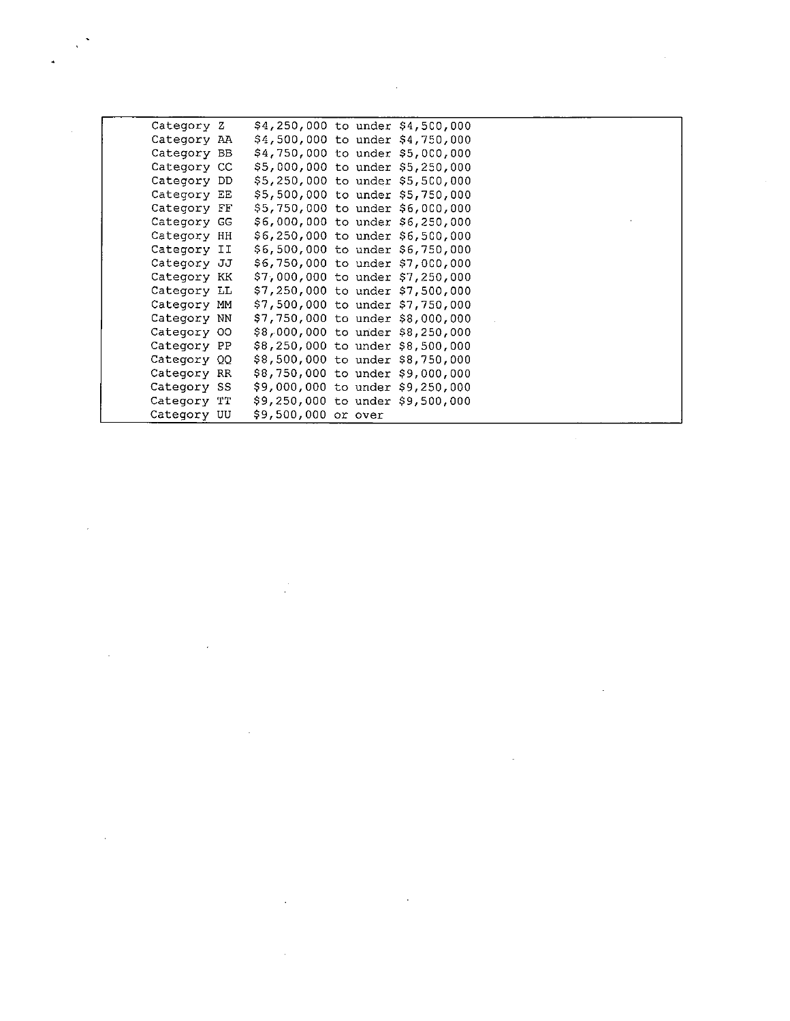| Category Z  |                                  |  | \$4,250,000 to under \$4,500,000 |  |
|-------------|----------------------------------|--|----------------------------------|--|
| Category AA | \$4,500,000 to under \$4,750,000 |  |                                  |  |
| Category BB |                                  |  | \$4,750,000 to under \$5,000,000 |  |
| Category CC |                                  |  | \$5,000,000 to under \$5,250,000 |  |
| Category DD |                                  |  | \$5,250,000 to under \$5,500,000 |  |
| Category EE |                                  |  | \$5,500,000 to under \$5,750,000 |  |
| Category FF |                                  |  | \$5,750,000 to under \$6,000,000 |  |
| Category GG |                                  |  | \$6,000,000 to under \$6,250,000 |  |
| Category HH |                                  |  | \$6,250,000 to under \$6,500,000 |  |
| Category II |                                  |  | \$6,500,000 to under \$6,750,000 |  |
| Category JJ |                                  |  | \$6,750,000 to under \$7,000,000 |  |
| Category KK |                                  |  | \$7,000,000 to under \$7,250,000 |  |
| Category LL |                                  |  | \$7,250,000 to under \$7,500,000 |  |
| Category MM | \$7,500,000 to under \$7,750,000 |  |                                  |  |
| Category NN |                                  |  | \$7,750,000 to under \$8,000,000 |  |
| Category 00 |                                  |  | \$8,000,000 to under \$8,250,000 |  |
| Category PP |                                  |  | \$8,250,000 to under \$8,500,000 |  |
| Category QQ |                                  |  | \$8,500,000 to under \$8,750,000 |  |
| Category RR | \$8,750,000 to under \$9,000,000 |  |                                  |  |
| Category SS | \$9,000,000 to under \$9,250,000 |  |                                  |  |
| Category TT | \$9,250,000 to under \$9,500,000 |  |                                  |  |
| Category UU | \$9,500,000 or over              |  |                                  |  |

 $\label{eq:2.1} \frac{1}{\sqrt{2}}\int_{\mathbb{R}^3}\frac{1}{\sqrt{2}}\left(\frac{1}{\sqrt{2}}\right)^2\frac{1}{\sqrt{2}}\left(\frac{1}{\sqrt{2}}\right)^2\frac{1}{\sqrt{2}}\left(\frac{1}{\sqrt{2}}\right)^2\frac{1}{\sqrt{2}}\left(\frac{1}{\sqrt{2}}\right)^2\frac{1}{\sqrt{2}}\left(\frac{1}{\sqrt{2}}\right)^2\frac{1}{\sqrt{2}}\frac{1}{\sqrt{2}}\frac{1}{\sqrt{2}}\frac{1}{\sqrt{2}}\frac{1}{\sqrt{2}}\frac{1}{\sqrt{2}}$ 

 $\mathcal{L}^{\text{max}}_{\text{max}}$ 

 $\mathcal{L}^{\text{max}}_{\text{max}}$  and  $\mathcal{L}^{\text{max}}_{\text{max}}$ 

 $\label{eq:2.1} \frac{1}{\sqrt{2}}\int_{\mathbb{R}^3}\frac{1}{\sqrt{2}}\left(\frac{1}{\sqrt{2}}\right)^2\frac{1}{\sqrt{2}}\left(\frac{1}{\sqrt{2}}\right)^2\frac{1}{\sqrt{2}}\left(\frac{1}{\sqrt{2}}\right)^2\frac{1}{\sqrt{2}}\left(\frac{1}{\sqrt{2}}\right)^2.$ 

 $\hat{p}$  and  $\hat{p}$  and  $\hat{p}$ 

 $\mathcal{L}^{\text{max}}_{\text{max}}$  and  $\mathcal{L}^{\text{max}}_{\text{max}}$ 

 $\label{eq:2.1} \frac{1}{\sqrt{2}}\int_{\mathbb{R}^3}\frac{1}{\sqrt{2}}\left(\frac{1}{\sqrt{2}}\right)^2\frac{1}{\sqrt{2}}\left(\frac{1}{\sqrt{2}}\right)^2\frac{1}{\sqrt{2}}\left(\frac{1}{\sqrt{2}}\right)^2\frac{1}{\sqrt{2}}\left(\frac{1}{\sqrt{2}}\right)^2.$ 

 $\mathcal{L}(\mathcal{L}(\mathcal{L}))$  and  $\mathcal{L}(\mathcal{L}(\mathcal{L}))$  . The contribution of the contribution of  $\mathcal{L}(\mathcal{L})$